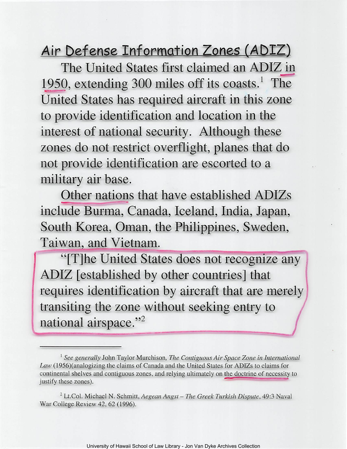Air Defense Information Zones (ADIZ)

**The United States first claimed an ADIZ in**  1950, extending 300 miles off its coasts.<sup>1</sup> The **United States has required aircraft in this zone to provide identification and location in the interest of national security. Although these zones do not restrict overflight, planes that do not provide identification are escorted to a military air base.** 

**Other nations that have established ADIZs include Burma, Canada, Iceland, India, Japan, South Korea, Oman, the Philippines, Sweden, Taiwan, and Vietnam.** 

"[T]he United States does not recognize any **ADIZ [established by other countries] that**  requires identification by aircraft that are merely transiting the zone without seeking entry to national airspace."<sup>2</sup>

<sup>&</sup>lt;sup>1</sup> See generally John Taylor Murchison, *The Contiguous Air Space Zone in International Law* (1956)(analogizing the claims of Canada and the United States for ADIZs to claims for continental shelves and contiguous zones, and relying ultimately on the doctrine of necessity to justify these zones).

<sup>2</sup> Lt.Col. Michael N. Schmitt, *Aegean Angst* - *The Greek Turkish Dispute,* 49:3 Naval War College Review 42, 62 (1996).